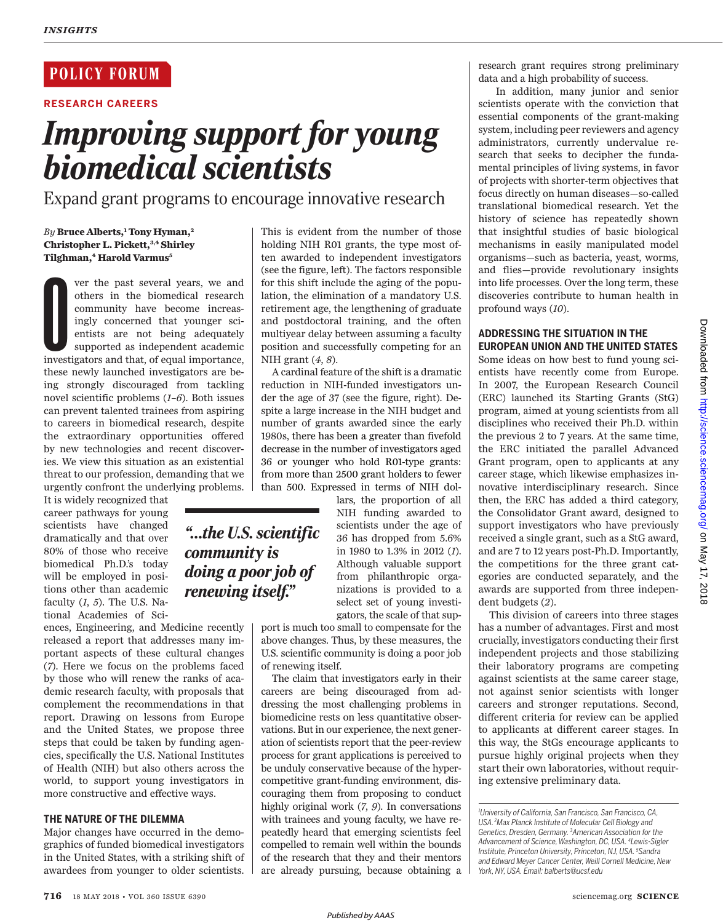# **POLICY FORUM**

**RESEARCH CAREERS**

# *Improving support for young biomedical scientists*

Expand grant programs to encourage innovative research

# *By* **Bruce Alberts,<sup>1</sup> Tony Hyman,<sup>2</sup> Christopher L. Pickett,3,4 Shirley Tilghman,<sup>4</sup> Harold Varmus<sup>5</sup>**

ver the past several years, we and others in the biomedical research community have become increasingly concerned that younger scientists are not being adequately supported as independent academic investigators and that, o ver the past several years, we and others in the biomedical research community have become increasingly concerned that younger scientists are not being adequately supported as independent academic these newly launched investigators are being strongly discouraged from tackling novel scientific problems (*1*–*6*). Both issues can prevent talented trainees from aspiring to careers in biomedical research, despite the extraordinary opportunities offered by new technologies and recent discoveries. We view this situation as an existential threat to our profession, demanding that we urgently confront the underlying problems.

It is widely recognized that career pathways for young scientists have changed dramatically and that over 80% of those who receive biomedical Ph.D.'s today will be employed in positions other than academic faculty (*1*, *5*). The U.S. National Academies of Sci-

ences, Engineering, and Medicine recently released a report that addresses many important aspects of these cultural changes (*7*). Here we focus on the problems faced by those who will renew the ranks of academic research faculty, with proposals that complement the recommendations in that report. Drawing on lessons from Europe and the United States, we propose three steps that could be taken by funding agencies, specifically the U.S. National Institutes of Health (NIH) but also others across the world, to support young investigators in more constructive and effective ways.

# **THE NATURE OF THE DILEMMA**

Major changes have occurred in the demographics of funded biomedical investigators in the United States, with a striking shift of awardees from younger to older scientists.

This is evident from the number of those holding NIH R01 grants, the type most often awarded to independent investigators (see the figure, left). The factors responsible for this shift include the aging of the population, the elimination of a mandatory U.S. retirement age, the lengthening of graduate and postdoctoral training, and the often multiyear delay between assuming a faculty position and successfully competing for an NIH grant (*4*, *8*).

A cardinal feature of the shift is a dramatic reduction in NIH-funded investigators under the age of 37 (see the figure, right). Despite a large increase in the NIH budget and number of grants awarded since the early 1980s, there has been a greater than fivefold decrease in the number of investigators aged 36 or younger who hold R01-type grants: from more than 2500 grant holders to fewer than 500. Expressed in terms of NIH dol-

# *"…the U.S. scientific community is doing a poor job of renewing itself."*

lars, the proportion of all NIH funding awarded to scientists under the age of 36 has dropped from 5.6% in 1980 to 1.3% in 2012 (*1*). Although valuable support from philanthropic organizations is provided to a select set of young investigators, the scale of that sup-

port is much too small to compensate for the above changes. Thus, by these measures, the U.S. scientific community is doing a poor job of renewing itself.

The claim that investigators early in their careers are being discouraged from addressing the most challenging problems in biomedicine rests on less quantitative observations. But in our experience, the next generation of scientists report that the peer-review process for grant applications is perceived to be unduly conservative because of the hypercompetitive grant-funding environment, discouraging them from proposing to conduct highly original work (*7*, *9*). In conversations with trainees and young faculty, we have repeatedly heard that emerging scientists feel compelled to remain well within the bounds of the research that they and their mentors are already pursuing, because obtaining a research grant requires strong preliminary data and a high probability of success.

 In addition, many junior and senior scientists operate with the conviction that essential components of the grant-making system, including peer reviewers and agency administrators, currently undervalue research that seeks to decipher the fundamental principles of living systems, in favor of projects with shorter-term objectives that focus directly on human diseases—so-called translational biomedical research. Yet the history of science has repeatedly shown that insightful studies of basic biological mechanisms in easily manipulated model organisms—such as bacteria, yeast, worms, and flies—provide revolutionary insights into life processes. Over the long term, these discoveries contribute to human health in profound ways (*10*).

# **ADDRESSING THE SITUATION IN THE EUROPEAN UNION AND THE UNITED STATES**

Some ideas on how best to fund young scientists have recently come from Europe. In 2007, the European Research Council (ERC) launched its Starting Grants (StG) program, aimed at young scientists from all disciplines who received their Ph.D. within the previous 2 to 7 years. At the same time, the ERC initiated the parallel Advanced Grant program, open to applicants at any career stage, which likewise emphasizes innovative interdisciplinary research. Since then, the ERC has added a third category, the Consolidator Grant award, designed to support investigators who have previously received a single grant, such as a StG award, and are 7 to 12 years post-Ph.D. Importantly, the competitions for the three grant categories are conducted separately, and the awards are supported from three independent budgets (*2*).

This division of careers into three stages has a number of advantages. First and most crucially, investigators conducting their first independent projects and those stabilizing their laboratory programs are competing against scientists at the same career stage, not against senior scientists with longer careers and stronger reputations. Second, different criteria for review can be applied to applicants at different career stages. In this way, the StGs encourage applicants to pursue highly original projects when they start their own laboratories, without requiring extensive preliminary data.

*<sup>1</sup>University of California, San Francisco, San Francisco, CA, USA.<sup>2</sup>Max Planck Institute of Molecular Cell Biology and Genetics, Dresden, Germany. <sup>3</sup>American Association for the Advancement of Science, Washington, DC, USA. <sup>4</sup>Lewis-Sigler Institute, Princeton University, Princeton, NJ, USA. <sup>5</sup>Sandra and Edward Meyer Cancer Center, Weill Cornell Medicine, New York, NY, USA. Email: balberts@ucsf.edu*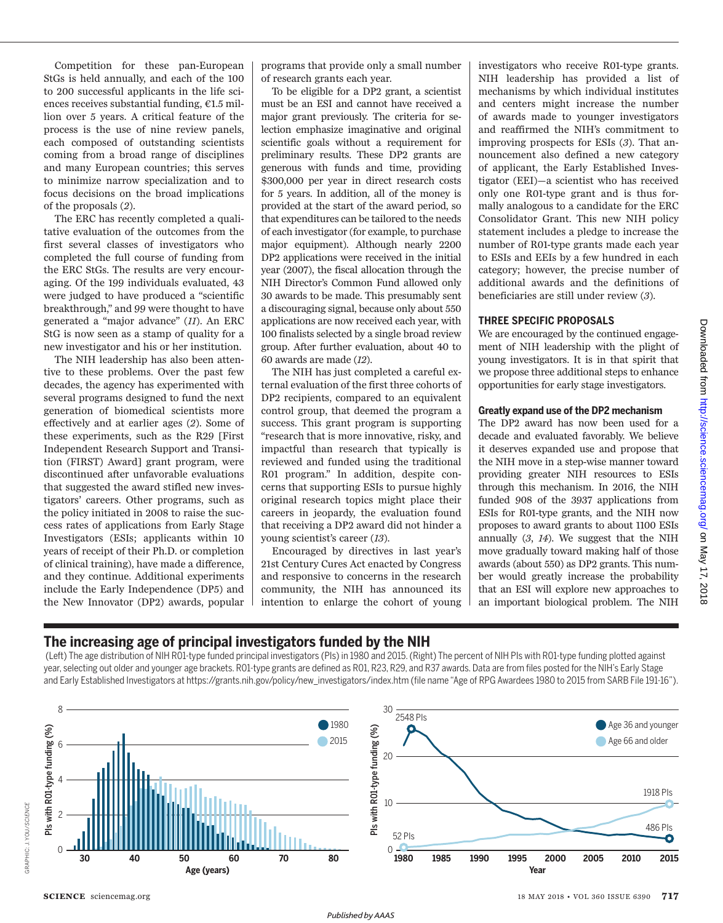Competition for these pan-European StGs is held annually, and each of the 100 to 200 successful applicants in the life sciences receives substantial funding, €1.5 million over 5 years. A critical feature of the process is the use of nine review panels, each composed of outstanding scientists coming from a broad range of disciplines and many European countries; this serves to minimize narrow specialization and to focus decisions on the broad implications of the proposals (*2*).

The ERC has recently completed a qualitative evaluation of the outcomes from the first several classes of investigators who completed the full course of funding from the ERC StGs. The results are very encouraging. Of the 199 individuals evaluated, 43 were judged to have produced a "scientific breakthrough," and 99 were thought to have generated a "major advance" (*11*). An ERC StG is now seen as a stamp of quality for a new investigator and his or her institution.

The NIH leadership has also been attentive to these problems. Over the past few decades, the agency has experimented with several programs designed to fund the next generation of biomedical scientists more effectively and at earlier ages (*2*). Some of these experiments, such as the R29 [First Independent Research Support and Transition (FIRST) Award] grant program, were discontinued after unfavorable evaluations that suggested the award stifled new investigators' careers. Other programs, such as the policy initiated in 2008 to raise the success rates of applications from Early Stage Investigators (ESIs; applicants within 10 years of receipt of their Ph.D. or completion of clinical training), have made a difference, and they continue. Additional experiments include the Early Independence (DP5) and the New Innovator (DP2) awards, popular programs that provide only a small number of research grants each year.

To be eligible for a DP2 grant, a scientist must be an ESI and cannot have received a major grant previously. The criteria for selection emphasize imaginative and original scientific goals without a requirement for preliminary results. These DP2 grants are generous with funds and time, providing \$300,000 per year in direct research costs for 5 years. In addition, all of the money is provided at the start of the award period, so that expenditures can be tailored to the needs of each investigator (for example, to purchase major equipment). Although nearly 2200 DP2 applications were received in the initial year (2007), the fiscal allocation through the NIH Director's Common Fund allowed only 30 awards to be made. This presumably sent a discouraging signal, because only about 550 applications are now received each year, with 100 finalists selected by a single broad review group. After further evaluation, about 40 to 60 awards are made (*12*).

The NIH has just completed a careful external evaluation of the first three cohorts of DP2 recipients, compared to an equivalent control group, that deemed the program a success. This grant program is supporting "research that is more innovative, risky, and impactful than research that typically is reviewed and funded using the traditional R01 program." In addition, despite concerns that supporting ESIs to pursue highly original research topics might place their careers in jeopardy, the evaluation found that receiving a DP2 award did not hinder a young scientist's career (*13*).

Encouraged by directives in last year's 21st Century Cures Act enacted by Congress and responsive to concerns in the research community, the NIH has announced its intention to enlarge the cohort of young investigators who receive R01-type grants. NIH leadership has provided a list of mechanisms by which individual institutes and centers might increase the number of awards made to younger investigators and reaffirmed the NIH's commitment to improving prospects for ESIs (*3*). That announcement also defined a new category of applicant, the Early Established Investigator (EEI)—a scientist who has received only one R01-type grant and is thus formally analogous to a candidate for the ERC Consolidator Grant. This new NIH policy statement includes a pledge to increase the number of R01-type grants made each year to ESIs and EEIs by a few hundred in each category; however, the precise number of additional awards and the definitions of beneficiaries are still under review (*3*).

### **THREE SPECIFIC PROPOSALS**

We are encouraged by the continued engagement of NIH leadership with the plight of young investigators. It is in that spirit that we propose three additional steps to enhance opportunities for early stage investigators.

### **Greatly expand use of the DP2 mechanism**

The DP2 award has now been used for a decade and evaluated favorably. We believe it deserves expanded use and propose that the NIH move in a step-wise manner toward providing greater NIH resources to ESIs through this mechanism. In 2016, the NIH funded 908 of the 3937 applications from ESIs for R01-type grants, and the NIH now proposes to award grants to about 1100 ESIs annually (*3*, *14*). We suggest that the NIH move gradually toward making half of those awards (about 550) as DP2 grants. This number would greatly increase the probability that an ESI will explore new approaches to an important biological problem. The NIH

# Downloaded from http://science.sciencemag.org/ on May 17, on May 17, 2018 <http://science.sciencemag.org/> Downloaded from

 $.2018$ 

# **The increasing age of principal investigators funded by the NIH**

 (Left) The age distribution of NIH R01-type funded principal investigators (PIs) in 1980 and 2015. (Right) The percent of NIH PIs with R01-type funding plotted against year, selecting out older and younger age brackets. R01-type grants are defined as R01, R23, R29, and R37 awards. Data are from files posted for the NIH's Early Stage and Early Established Investigators at https://grants.nih.gov/policy/new\_investigators/index.htm (file name "Age of RPG Awardees 1980 to 2015 from SARB File 191-16").

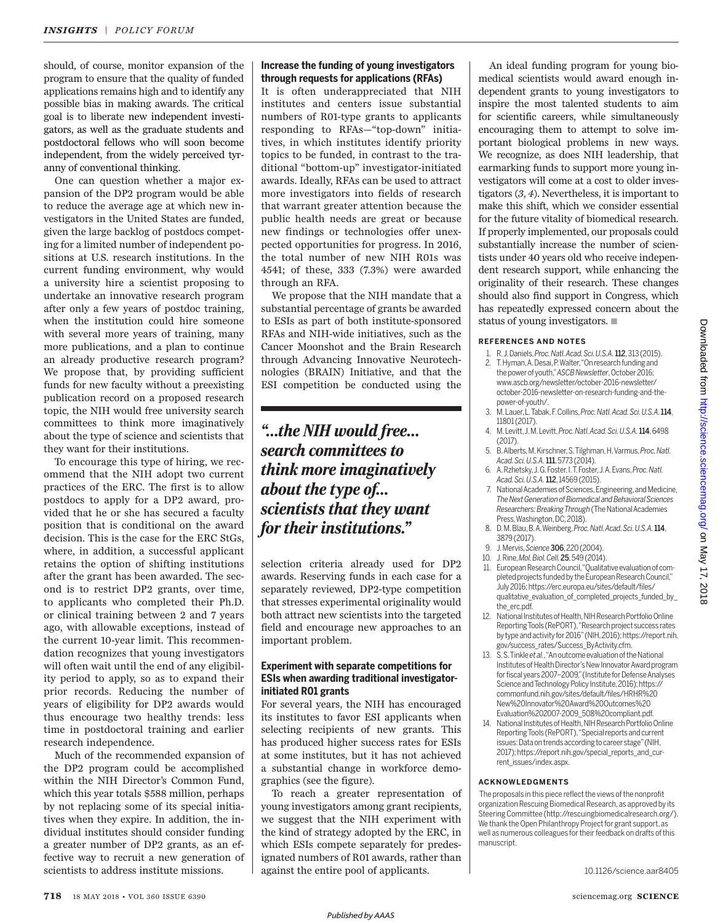should, of course, monitor expansion of the program to ensure that the quality of funded applications remains high and to identify any possible bias in making awards. The critical goal is to liberate new independent investigators, as well as the graduate students and postdoctoral fellows who will soon become independent, from the widely perceived tyranny of conventional thinking.

One can question whether a major expansion of the DP2 program would be able to reduce the average age at which new investigators in the United States are funded, given the large backlog of postdocs competing for a limited number of independent positions at U.S. research institutions. In the current funding environment, why would a university hire a scientist proposing to undertake an innovative research program after only a few years of postdoc training, when the institution could hire someone with several more years of training, many more publications, and a plan to continue an already productive research program? We propose that, by providing sufficient funds for new faculty without a preexisting publication record on a proposed research topic, the NIH would free university search committees to think more imaginatively about the type of science and scientists that they want for their institutions.

To encourage this type of hiring, we recommend that the NIH adopt two current practices of the ERC. The first is to allow postdocs to apply for a DP2 award, provided that he or she has secured a faculty position that is conditional on the award decision. This is the case for the ERC StGs, where, in addition, a successful applicant retains the option of shifting institutions after the grant has been awarded. The second is to restrict DP2 grants, over time, to applicants who completed their Ph.D. or clinical training between 2 and 7 years ago, with allowable exceptions, instead of the current 10-year limit. This recommendation recognizes that young investigators will often wait until the end of any eligibility period to apply, so as to expand their prior records. Reducing the number of years of eligibility for DP2 awards would thus encourage two healthy trends: less time in postdoctoral training and earlier research independence.

Much of the recommended expansion of the DP2 program could be accomplished within the NIH Director's Common Fund, which this year totals \$588 million, perhaps by not replacing some of its special initiatives when they expire. In addition, the individual institutes should consider funding a greater number of DP2 grants, as an effective way to recruit a new generation of scientists to address institute missions.

# **Increase the funding of young investigators through requests for applications (RFAs)**

It is often underappreciated that NIH institutes and centers issue substantial numbers of R01-type grants to applicants responding to RFAs—"top-down" initiatives, in which institutes identify priority topics to be funded, in contrast to the traditional "bottom-up" investigator-initiated awards. Ideally, RFAs can be used to attract more investigators into fields of research that warrant greater attention because the public health needs are great or because new findings or technologies offer unexpected opportunities for progress. In 2016, the total number of new NIH R01s was 4541; of these, 333 (7.3%) were awarded through an RFA.

We propose that the NIH mandate that a substantial percentage of grants be awarded to ESIs as part of both institute-sponsored RFAs and NIH-wide initiatives, such as the Cancer Moonshot and the Brain Research through Advancing Innovative Neurotechnologies (BRAIN) Initiative, and that the ESI competition be conducted using the

# *"…the NIH would free… search committees to think more imaginatively about the type of… scientists that they want for their institutions."*

selection criteria already used for DP2 awards. Reserving funds in each case for a separately reviewed, DP2-type competition that stresses experimental originality would both attract new scientists into the targeted field and encourage new approaches to an important problem.

## **Experiment with separate competitions for ESIs when awarding traditional investigatorinitiated R01 grants**

For several years, the NIH has encouraged its institutes to favor ESI applicants when selecting recipients of new grants. This has produced higher success rates for ESIs at some institutes, but it has not achieved a substantial change in workforce demographics (see the figure).

To reach a greater representation of young investigators among grant recipients, we suggest that the NIH experiment with the kind of strategy adopted by the ERC, in which ESIs compete separately for predesignated numbers of R01 awards, rather than against the entire pool of applicants.

An ideal funding program for young biomedical scientists would award enough independent grants to young investigators to inspire the most talented students to aim for scientific careers, while simultaneously encouraging them to attempt to solve important biological problems in new ways. We recognize, as does NIH leadership, that earmarking funds to support more young investigators will come at a cost to older investigators (*3*, *4*). Nevertheless, it is important to make this shift, which we consider essential for the future vitality of biomedical research. If properly implemented, our proposals could substantially increase the number of scientists under 40 years old who receive independent research support, while enhancing the originality of their research. These changes should also find support in Congress, which has repeatedly expressed concern about the status of young investigators.  $\blacksquare$ 

#### **REFERENCES AND NOTES**

- 1. R. J. Daniels, *Proc. Natl. Acad. Sci. U.S.A.*112, 313 (2015). 2. T. Hyman, A. Desai, P. Walter, "On research funding and the power of youth," *ASCB Newsletter*, October 2016; www.ascb.org/newsletter/october-2016-newsletter/ october-2016-newsletter-on-research-funding-and-thepower-of-youth/.
- 3. M. Lauer, L. Tabak, F. Collins, *Proc. Natl. Acad. Sci. U.S.A.* 114, 11801 (2017).
- 4. M. Levitt, J. M. Levitt, *Proc. Natl. Acad. Sci. U.S.A.*114, 6498 (2017).
- 5. B. Alberts, M. Kirschner, S. Tilghman, H. Varmus, *Proc. Natl. Acad. Sci. U.S.A.*111, 5773 (2014).
- 6. A. Rzhetsky, J. G. Foster, I. T. Foster, J. A. Evans, *Proc. Natl. Acad. Sci. U.S.A.*112, 14569 (2015).
- 7. National Academies of Sciences, Engineering, and Medicine, *The Next Generation of Biomedical and Behavioral Sciences Researchers: Breaking Through* (The National Academies Press, Washington, DC, 2018).
- 8. D. M. Blau, B. A. Weinberg, *Proc. Natl. Acad. Sci. U.S.A.*114, 3879 (2017).
- 9. J. Mervis, *Science*306, 220 (2004).
- 10. J. Rine, *Mol. Biol. Cell.* 25, 549 (2014).
- 11. European Research Council, "Qualitative evaluation of completed projects funded by the European Research Council," July 2016; https://erc.europa.eu/sites/default/files/ qualitative\_evaluation\_of\_completed\_projects\_funded\_by\_ the\_erc.pdf.
- 12. National Institutes of Health, NIH Research Portfolio Online Reporting Tools (RePORT), "Research project success rates by type and activity for 2016" (NIH, 2016); https://report.nih. gov/success\_rates/Success\_ByActivity.cfm.
- 13. S. S. Tinkle *et al.*, "An outcome evaluation of the National Institutes of Health Director's New Innovator Award program for fiscal years 2007–2009," (Institute for Defense Analyses Science and Technology Policy Institute, 2016); https:// commonfund.nih.gov/sites/default/files/HRHR%20 New%20Innovator%20Award%20Outcomes%20 Evaluation%202007-2009\_508%20compliant.pdf.
- 14. National Institutes of Health, NIH Research Portfolio Online Reporting Tools (RePORT), "Special reports and current issues: Data on trends according to career stage" (NIH, 2017); https://report.nih.gov/special\_reports\_and\_current\_issues/index.aspx.

### **ACKNOWLEDGMENTS**

 The proposals in this piece reflect the views of the nonprofit organization Rescuing Biomedical Research, as approved by its Steering Committee (http://rescuingbiomedicalresearch.org/). We thank the Open Philanthropy Project for grant support, as well as numerous colleagues for their feedback on drafts of this manuscript.

10.1126/science.aar8405